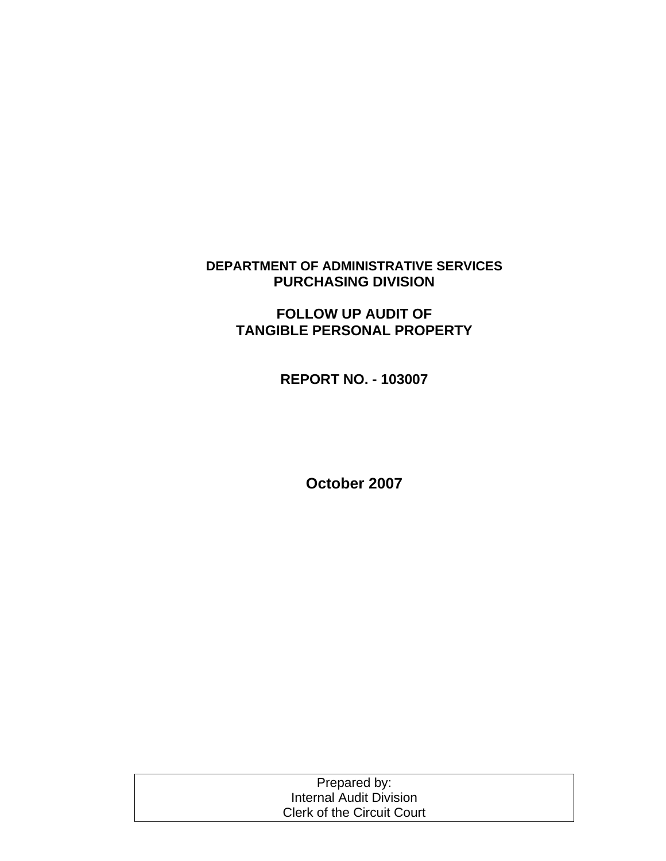## **DEPARTMENT OF ADMINISTRATIVE SERVICES PURCHASING DIVISION**

# **FOLLOW UP AUDIT OF TANGIBLE PERSONAL PROPERTY**

**REPORT NO. - 103007** 

**October 2007** 

| Prepared by:                      |  |
|-----------------------------------|--|
| Internal Audit Division           |  |
| <b>Clerk of the Circuit Court</b> |  |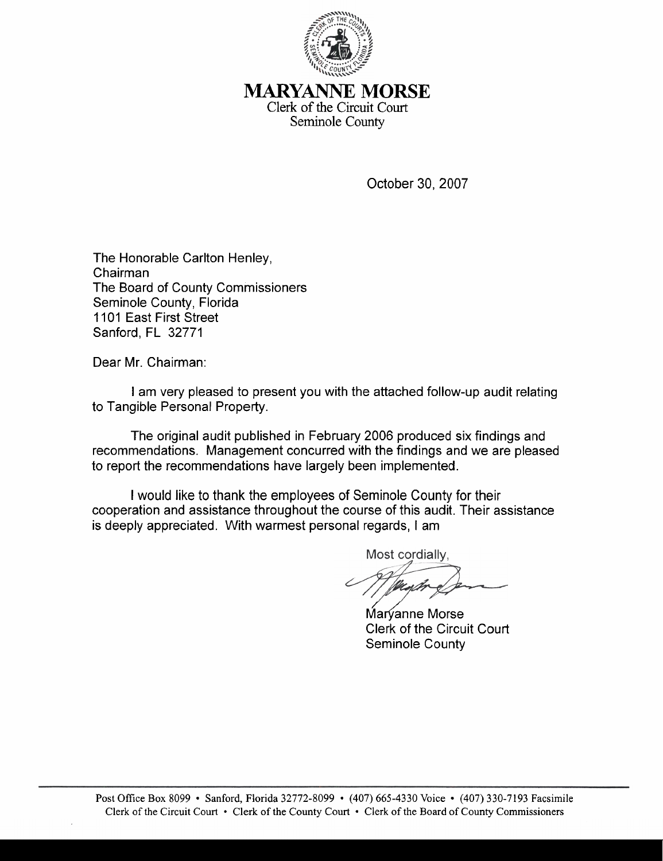

## *MARYANNE* MORSE Clerk of the Circuit Court Seminole County

October 30,2007

The Honorable Carlton Henley, Chairman The Board of County Commissioners Seminole County, Florida 1101 East First Street Sanford, FL 32771

Dear Mr. Chairman:

I am very pleased to present you with the attached follow-up audit relating to Tangible Personal Property.

The original audit published in February 2006 produced six findings and recommendations. Management concurred with the findings and we are pleased to report the recommendations have largely been implemented.

I would like to thank the employees of Seminole County for their cooperation and assistance throughout the course of this audit. Their assistance is deeply appreciated. With warmest personal regards, I am

Most cordially.

Marvanne Morse Clerk of the Circuit Court Seminole County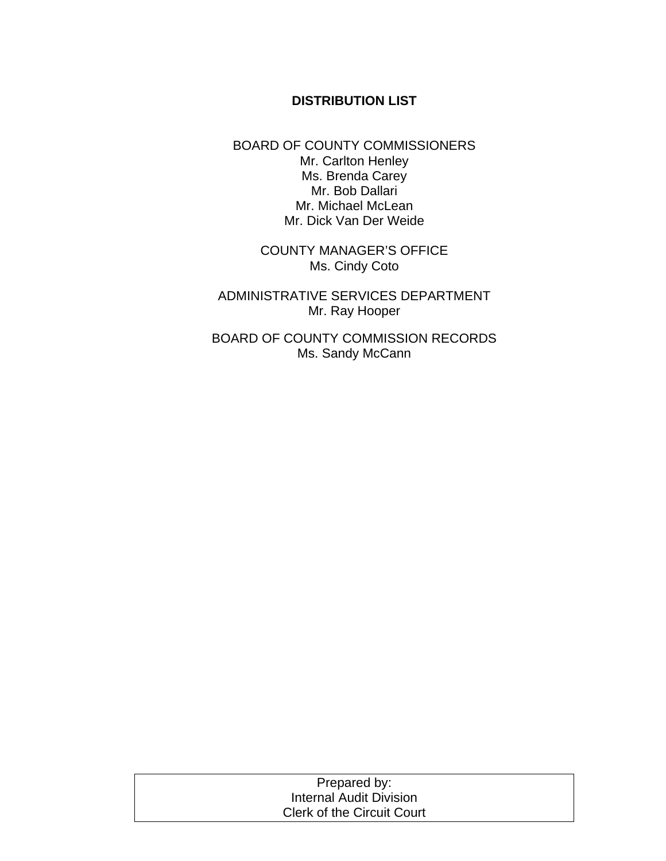## **DISTRIBUTION LIST**

BOARD OF COUNTY COMMISSIONERS Mr. Carlton Henley Ms. Brenda Carey Mr. Bob Dallari Mr. Michael McLean Mr. Dick Van Der Weide

> COUNTY MANAGER'S OFFICE Ms. Cindy Coto

ADMINISTRATIVE SERVICES DEPARTMENT Mr. Ray Hooper

BOARD OF COUNTY COMMISSION RECORDS Ms. Sandy McCann

| Prepared by:                      |  |
|-----------------------------------|--|
| Internal Audit Division           |  |
| <b>Clerk of the Circuit Court</b> |  |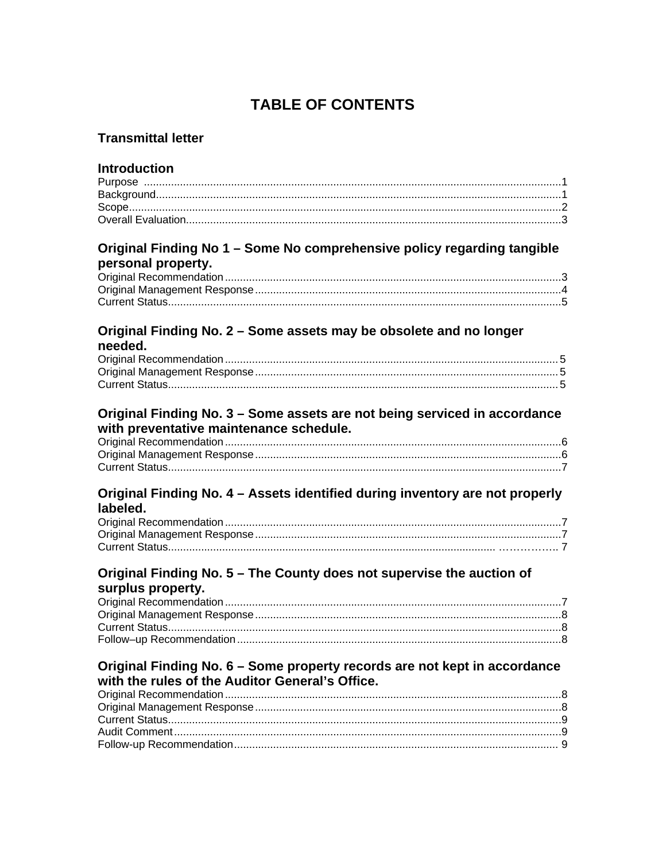# **TABLE OF CONTENTS**

## **Transmittal letter**

## **Introduction**

#### Original Finding No 1 - Some No comprehensive policy regarding tangible nersonal property

| <b>PULOUTHE PLUPULLY.</b> |  |
|---------------------------|--|
|                           |  |
|                           |  |
|                           |  |
|                           |  |

#### Original Finding No. 2 - Some assets may be obsolete and no longer needed.

### Original Finding No. 3 - Some assets are not being serviced in accordance with preventative maintenance schedule.

#### Original Finding No. 4 - Assets identified during inventory are not properly labeled.

### Original Finding No. 5 - The County does not supervise the auction of surplus property.

## Original Finding No. 6 - Some property records are not kept in accordance with the rules of the Auditor General's Office.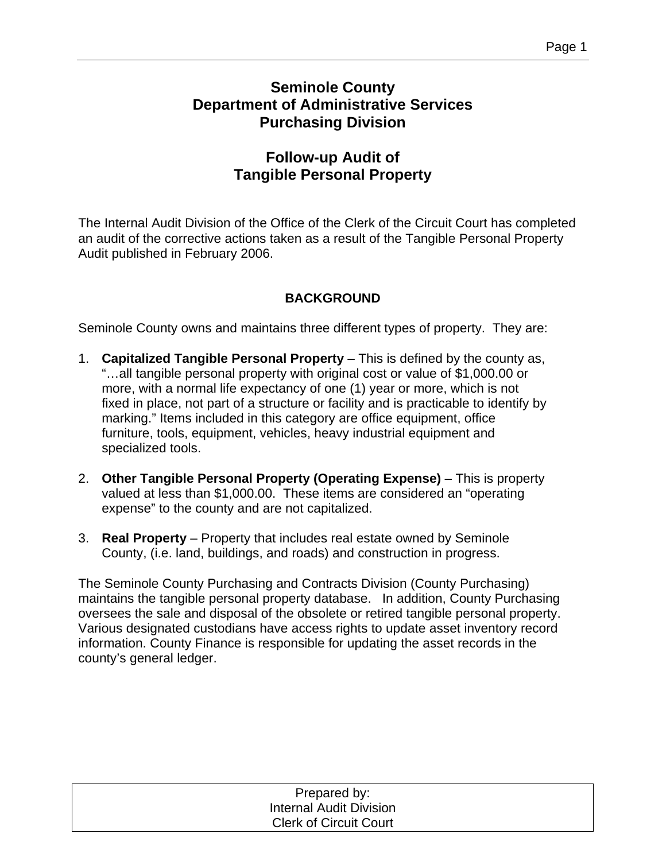# **Seminole County Department of Administrative Services Purchasing Division**

# **Follow-up Audit of Tangible Personal Property**

The Internal Audit Division of the Office of the Clerk of the Circuit Court has completed an audit of the corrective actions taken as a result of the Tangible Personal Property Audit published in February 2006.

# **BACKGROUND**

Seminole County owns and maintains three different types of property. They are:

- 1. **Capitalized Tangible Personal Property** This is defined by the county as, "…all tangible personal property with original cost or value of \$1,000.00 or more, with a normal life expectancy of one (1) year or more, which is not fixed in place, not part of a structure or facility and is practicable to identify by marking." Items included in this category are office equipment, office furniture, tools, equipment, vehicles, heavy industrial equipment and specialized tools.
- 2. **Other Tangible Personal Property (Operating Expense)** This is property valued at less than \$1,000.00. These items are considered an "operating expense" to the county and are not capitalized.
- 3. **Real Property** Property that includes real estate owned by Seminole County, (i.e. land, buildings, and roads) and construction in progress.

The Seminole County Purchasing and Contracts Division (County Purchasing) maintains the tangible personal property database. In addition, County Purchasing oversees the sale and disposal of the obsolete or retired tangible personal property. Various designated custodians have access rights to update asset inventory record information. County Finance is responsible for updating the asset records in the county's general ledger.

| Prepared by:                   |  |
|--------------------------------|--|
| <b>Internal Audit Division</b> |  |
| <b>Clerk of Circuit Court</b>  |  |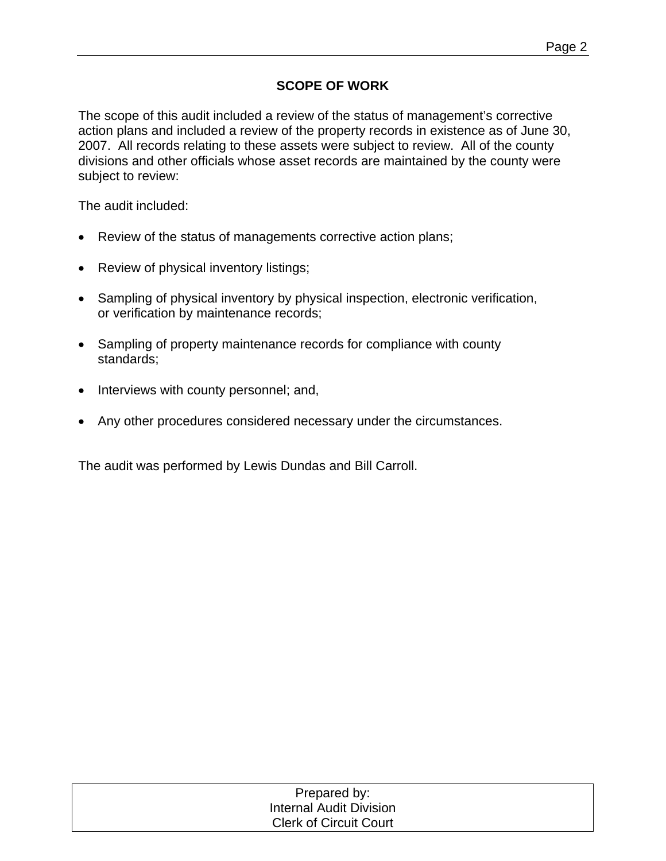## **SCOPE OF WORK**

The scope of this audit included a review of the status of management's corrective action plans and included a review of the property records in existence as of June 30, 2007. All records relating to these assets were subject to review. All of the county divisions and other officials whose asset records are maintained by the county were subject to review:

The audit included:

- Review of the status of managements corrective action plans;
- Review of physical inventory listings;
- Sampling of physical inventory by physical inspection, electronic verification, or verification by maintenance records;
- Sampling of property maintenance records for compliance with county standards;
- Interviews with county personnel; and,
- Any other procedures considered necessary under the circumstances.

The audit was performed by Lewis Dundas and Bill Carroll.

| Prepared by:                   |  |
|--------------------------------|--|
| <b>Internal Audit Division</b> |  |
| <b>Clerk of Circuit Court</b>  |  |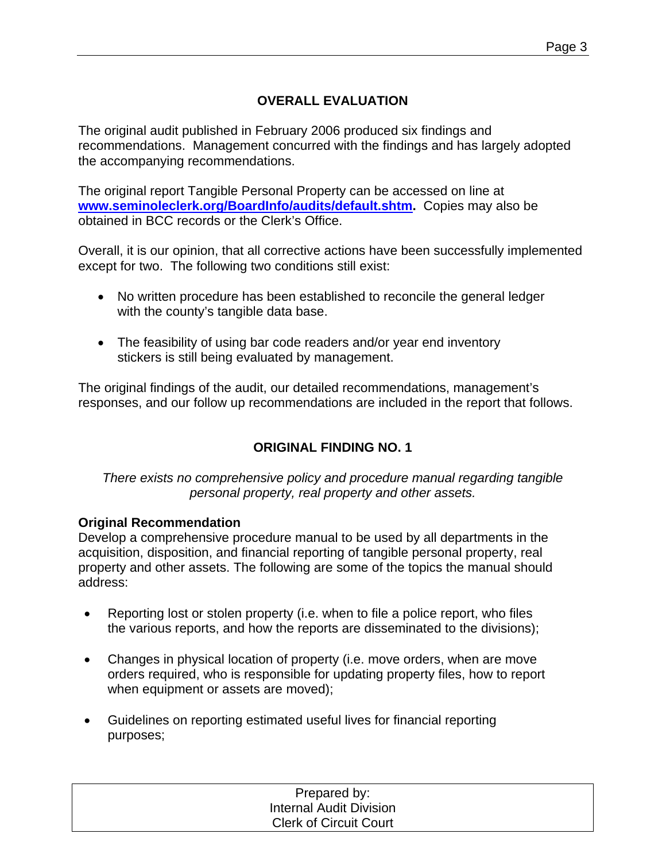# **OVERALL EVALUATION**

The original audit published in February 2006 produced six findings and recommendations. Management concurred with the findings and has largely adopted the accompanying recommendations.

The original report Tangible Personal Property can be accessed on line at **[www.seminoleclerk.org/BoardInfo/audits/default.shtm](http://www.seminoleclerk.org/BoardInfo/audits/default.shtm).** Copies may also be obtained in BCC records or the Clerk's Office.

Overall, it is our opinion, that all corrective actions have been successfully implemented except for two. The following two conditions still exist:

- No written procedure has been established to reconcile the general ledger with the county's tangible data base.
- The feasibility of using bar code readers and/or year end inventory stickers is still being evaluated by management.

The original findings of the audit, our detailed recommendations, management's responses, and our follow up recommendations are included in the report that follows.

# **ORIGINAL FINDING NO. 1**

*There exists no comprehensive policy and procedure manual regarding tangible personal property, real property and other assets.* 

### **Original Recommendation**

Develop a comprehensive procedure manual to be used by all departments in the acquisition, disposition, and financial reporting of tangible personal property, real property and other assets. The following are some of the topics the manual should address:

- Reporting lost or stolen property (i.e. when to file a police report, who files the various reports, and how the reports are disseminated to the divisions);
- Changes in physical location of property (i.e. move orders, when are move orders required, who is responsible for updating property files, how to report when equipment or assets are moved);
- Guidelines on reporting estimated useful lives for financial reporting purposes;

| Prepared by:                  |  |
|-------------------------------|--|
| Internal Audit Division       |  |
| <b>Clerk of Circuit Court</b> |  |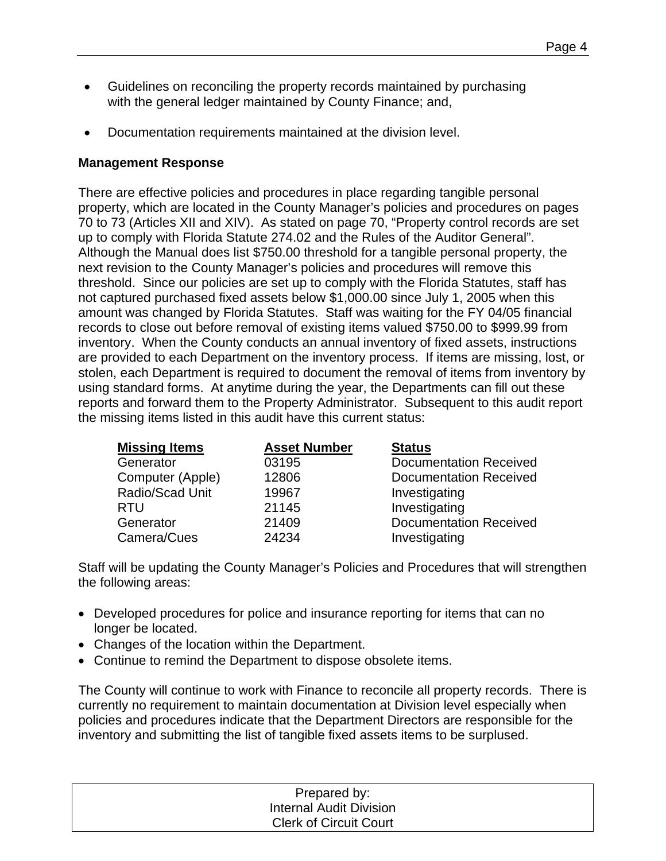- Guidelines on reconciling the property records maintained by purchasing with the general ledger maintained by County Finance; and,
- Documentation requirements maintained at the division level.

### **Management Response**

There are effective policies and procedures in place regarding tangible personal property, which are located in the County Manager's policies and procedures on pages 70 to 73 (Articles XII and XIV). As stated on page 70, "Property control records are set up to comply with Florida Statute 274.02 and the Rules of the Auditor General". Although the Manual does list \$750.00 threshold for a tangible personal property, the next revision to the County Manager's policies and procedures will remove this threshold. Since our policies are set up to comply with the Florida Statutes, staff has not captured purchased fixed assets below \$1,000.00 since July 1, 2005 when this amount was changed by Florida Statutes. Staff was waiting for the FY 04/05 financial records to close out before removal of existing items valued \$750.00 to \$999.99 from inventory. When the County conducts an annual inventory of fixed assets, instructions are provided to each Department on the inventory process. If items are missing, lost, or stolen, each Department is required to document the removal of items from inventory by using standard forms. At anytime during the year, the Departments can fill out these reports and forward them to the Property Administrator. Subsequent to this audit report the missing items listed in this audit have this current status:

| <b>Missing Items</b> | <b>Asset Number</b> | <b>Status</b>                 |
|----------------------|---------------------|-------------------------------|
| Generator            | 03195               | <b>Documentation Received</b> |
| Computer (Apple)     | 12806               | Documentation Received        |
| Radio/Scad Unit      | 19967               | Investigating                 |
| <b>RTU</b>           | 21145               | Investigating                 |
| Generator            | 21409               | <b>Documentation Received</b> |
| Camera/Cues          | 24234               | Investigating                 |

Staff will be updating the County Manager's Policies and Procedures that will strengthen the following areas:

- Developed procedures for police and insurance reporting for items that can no longer be located.
- Changes of the location within the Department.
- Continue to remind the Department to dispose obsolete items.

The County will continue to work with Finance to reconcile all property records. There is currently no requirement to maintain documentation at Division level especially when policies and procedures indicate that the Department Directors are responsible for the inventory and submitting the list of tangible fixed assets items to be surplused.

| Prepared by:                  |  |
|-------------------------------|--|
| Internal Audit Division       |  |
| <b>Clerk of Circuit Court</b> |  |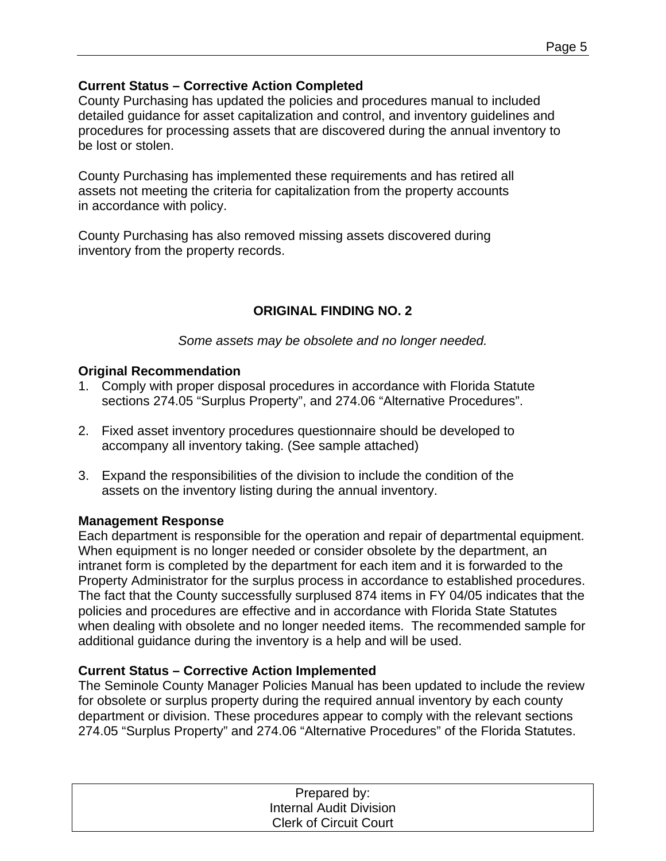### **Current Status – Corrective Action Completed**

County Purchasing has updated the policies and procedures manual to included detailed guidance for asset capitalization and control, and inventory guidelines and procedures for processing assets that are discovered during the annual inventory to be lost or stolen.

County Purchasing has implemented these requirements and has retired all assets not meeting the criteria for capitalization from the property accounts in accordance with policy.

County Purchasing has also removed missing assets discovered during inventory from the property records.

# **ORIGINAL FINDING NO. 2**

*Some assets may be obsolete and no longer needed.* 

## **Original Recommendation**

- 1. Comply with proper disposal procedures in accordance with Florida Statute sections 274.05 "Surplus Property", and 274.06 "Alternative Procedures".
- 2. Fixed asset inventory procedures questionnaire should be developed to accompany all inventory taking. (See sample attached)
- 3. Expand the responsibilities of the division to include the condition of the assets on the inventory listing during the annual inventory.

### **Management Response**

Each department is responsible for the operation and repair of departmental equipment. When equipment is no longer needed or consider obsolete by the department, an intranet form is completed by the department for each item and it is forwarded to the Property Administrator for the surplus process in accordance to established procedures. The fact that the County successfully surplused 874 items in FY 04/05 indicates that the policies and procedures are effective and in accordance with Florida State Statutes when dealing with obsolete and no longer needed items. The recommended sample for additional guidance during the inventory is a help and will be used.

# **Current Status – Corrective Action Implemented**

The Seminole County Manager Policies Manual has been updated to include the review for obsolete or surplus property during the required annual inventory by each county department or division. These procedures appear to comply with the relevant sections 274.05 "Surplus Property" and 274.06 "Alternative Procedures" of the Florida Statutes.

| Prepared by:                   |  |
|--------------------------------|--|
| <b>Internal Audit Division</b> |  |
| <b>Clerk of Circuit Court</b>  |  |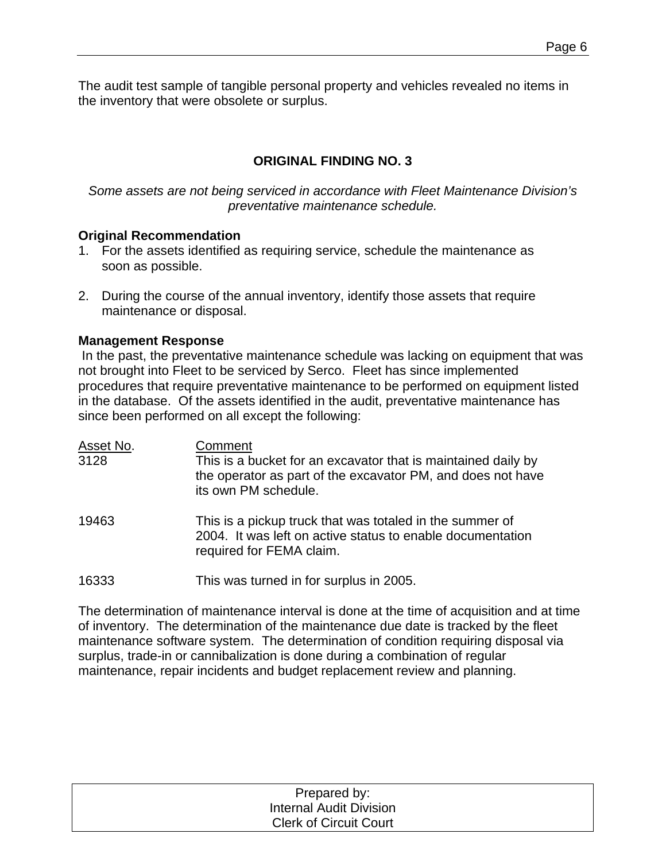The audit test sample of tangible personal property and vehicles revealed no items in the inventory that were obsolete or surplus.

# **ORIGINAL FINDING NO. 3**

*Some assets are not being serviced in accordance with Fleet Maintenance Division's preventative maintenance schedule.*

#### **Original Recommendation**

- 1. For the assets identified as requiring service, schedule the maintenance as soon as possible.
- 2. During the course of the annual inventory, identify those assets that require maintenance or disposal.

#### **Management Response**

In the past, the preventative maintenance schedule was lacking on equipment that was not brought into Fleet to be serviced by Serco. Fleet has since implemented procedures that require preventative maintenance to be performed on equipment listed in the database. Of the assets identified in the audit, preventative maintenance has since been performed on all except the following:

| Asset No.<br>3128 | Comment<br>This is a bucket for an excavator that is maintained daily by<br>the operator as part of the excavator PM, and does not have<br>its own PM schedule. |
|-------------------|-----------------------------------------------------------------------------------------------------------------------------------------------------------------|
| 19463             | This is a pickup truck that was totaled in the summer of<br>2004. It was left on active status to enable documentation<br>required for FEMA claim.              |
| 16333             | This was turned in for surplus in 2005.                                                                                                                         |

The determination of maintenance interval is done at the time of acquisition and at time of inventory. The determination of the maintenance due date is tracked by the fleet maintenance software system. The determination of condition requiring disposal via surplus, trade-in or cannibalization is done during a combination of regular maintenance, repair incidents and budget replacement review and planning.

| Prepared by:                   |  |
|--------------------------------|--|
| <b>Internal Audit Division</b> |  |
| <b>Clerk of Circuit Court</b>  |  |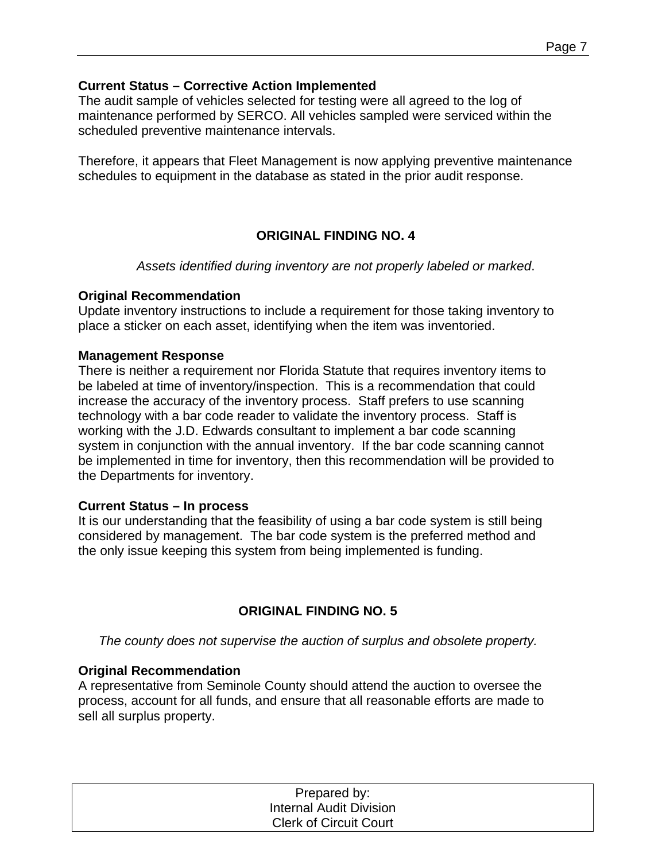#### **Current Status – Corrective Action Implemented**

The audit sample of vehicles selected for testing were all agreed to the log of maintenance performed by SERCO. All vehicles sampled were serviced within the scheduled preventive maintenance intervals.

Therefore, it appears that Fleet Management is now applying preventive maintenance schedules to equipment in the database as stated in the prior audit response.

## **ORIGINAL FINDING NO. 4**

*Assets identified during inventory are not properly labeled or marked*.

#### **Original Recommendation**

Update inventory instructions to include a requirement for those taking inventory to place a sticker on each asset, identifying when the item was inventoried.

#### **Management Response**

There is neither a requirement nor Florida Statute that requires inventory items to be labeled at time of inventory/inspection. This is a recommendation that could increase the accuracy of the inventory process. Staff prefers to use scanning technology with a bar code reader to validate the inventory process. Staff is working with the J.D. Edwards consultant to implement a bar code scanning system in conjunction with the annual inventory. If the bar code scanning cannot be implemented in time for inventory, then this recommendation will be provided to the Departments for inventory.

#### **Current Status – In process**

It is our understanding that the feasibility of using a bar code system is still being considered by management. The bar code system is the preferred method and the only issue keeping this system from being implemented is funding.

### **ORIGINAL FINDING NO. 5**

*The county does not supervise the auction of surplus and obsolete property.* 

### **Original Recommendation**

A representative from Seminole County should attend the auction to oversee the process, account for all funds, and ensure that all reasonable efforts are made to sell all surplus property.

| Prepared by:                  |  |
|-------------------------------|--|
| Internal Audit Division       |  |
| <b>Clerk of Circuit Court</b> |  |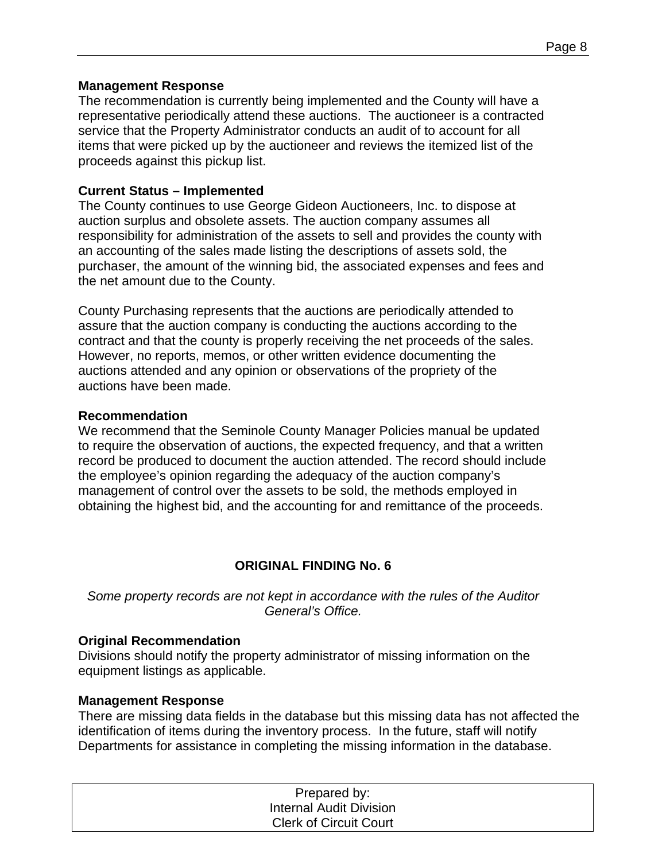#### **Management Response**

The recommendation is currently being implemented and the County will have a representative periodically attend these auctions. The auctioneer is a contracted service that the Property Administrator conducts an audit of to account for all items that were picked up by the auctioneer and reviews the itemized list of the proceeds against this pickup list.

#### **Current Status – Implemented**

The County continues to use George Gideon Auctioneers, Inc. to dispose at auction surplus and obsolete assets. The auction company assumes all responsibility for administration of the assets to sell and provides the county with an accounting of the sales made listing the descriptions of assets sold, the purchaser, the amount of the winning bid, the associated expenses and fees and the net amount due to the County.

County Purchasing represents that the auctions are periodically attended to assure that the auction company is conducting the auctions according to the contract and that the county is properly receiving the net proceeds of the sales. However, no reports, memos, or other written evidence documenting the auctions attended and any opinion or observations of the propriety of the auctions have been made.

#### **Recommendation**

We recommend that the Seminole County Manager Policies manual be updated to require the observation of auctions, the expected frequency, and that a written record be produced to document the auction attended. The record should include the employee's opinion regarding the adequacy of the auction company's management of control over the assets to be sold, the methods employed in obtaining the highest bid, and the accounting for and remittance of the proceeds.

### **ORIGINAL FINDING No. 6**

*Some property records are not kept in accordance with the rules of the Auditor General's Office.* 

#### **Original Recommendation**

Divisions should notify the property administrator of missing information on the equipment listings as applicable.

#### **Management Response**

There are missing data fields in the database but this missing data has not affected the identification of items during the inventory process. In the future, staff will notify Departments for assistance in completing the missing information in the database.

| Prepared by:                   |  |
|--------------------------------|--|
| <b>Internal Audit Division</b> |  |
| <b>Clerk of Circuit Court</b>  |  |